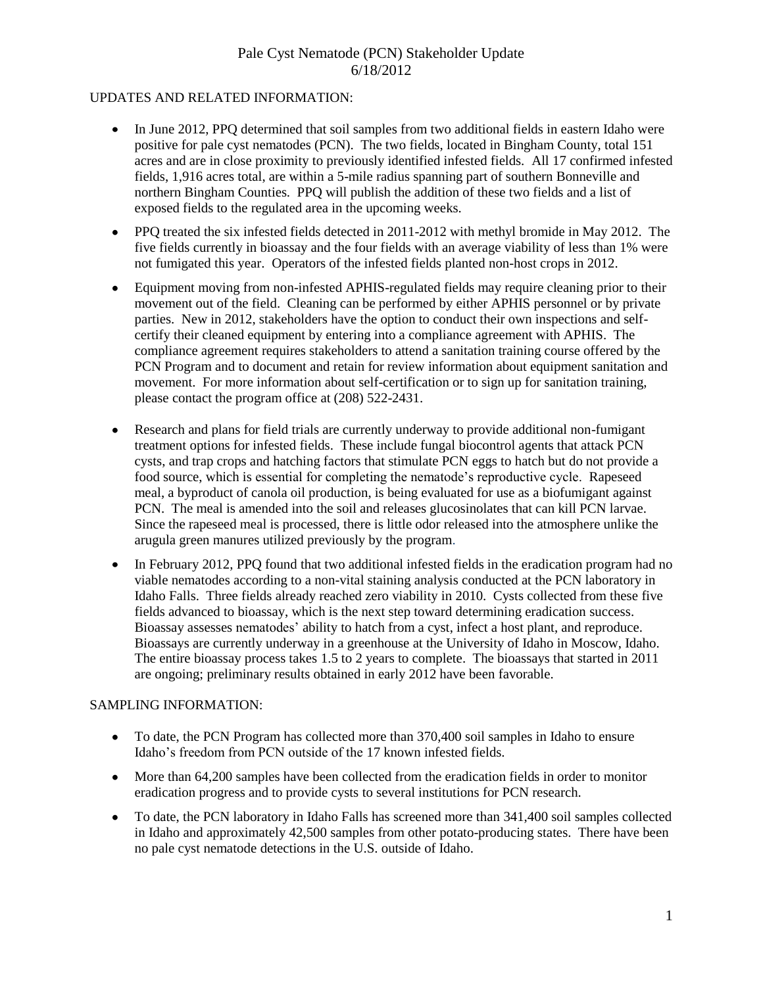#### UPDATES AND RELATED INFORMATION:

- $\bullet$ In June 2012, PPQ determined that soil samples from two additional fields in eastern Idaho were positive for pale cyst nematodes (PCN). The two fields, located in Bingham County, total 151 acres and are in close proximity to previously identified infested fields. All 17 confirmed infested fields, 1,916 acres total, are within a 5-mile radius spanning part of southern Bonneville and northern Bingham Counties. PPQ will publish the addition of these two fields and a list of exposed fields to the regulated area in the upcoming weeks.
- PPQ treated the six infested fields detected in 2011-2012 with methyl bromide in May 2012. The  $\bullet$ five fields currently in bioassay and the four fields with an average viability of less than 1% were not fumigated this year. Operators of the infested fields planted non-host crops in 2012.
- Equipment moving from non-infested APHIS-regulated fields may require cleaning prior to their  $\bullet$ movement out of the field. Cleaning can be performed by either APHIS personnel or by private parties. New in 2012, stakeholders have the option to conduct their own inspections and selfcertify their cleaned equipment by entering into a compliance agreement with APHIS. The compliance agreement requires stakeholders to attend a sanitation training course offered by the PCN Program and to document and retain for review information about equipment sanitation and movement. For more information about self-certification or to sign up for sanitation training, please contact the program office at (208) 522-2431.
- Research and plans for field trials are currently underway to provide additional non-fumigant treatment options for infested fields. These include fungal biocontrol agents that attack PCN cysts, and trap crops and hatching factors that stimulate PCN eggs to hatch but do not provide a food source, which is essential for completing the nematode's reproductive cycle. Rapeseed meal, a byproduct of canola oil production, is being evaluated for use as a biofumigant against PCN. The meal is amended into the soil and releases glucosinolates that can kill PCN larvae. Since the rapeseed meal is processed, there is little odor released into the atmosphere unlike the arugula green manures utilized previously by the program.
- In February 2012, PPQ found that two additional infested fields in the eradication program had no  $\bullet$ viable nematodes according to a non-vital staining analysis conducted at the PCN laboratory in Idaho Falls. Three fields already reached zero viability in 2010. Cysts collected from these five fields advanced to bioassay, which is the next step toward determining eradication success. Bioassay assesses nematodes' ability to hatch from a cyst, infect a host plant, and reproduce. Bioassays are currently underway in a greenhouse at the University of Idaho in Moscow, Idaho. The entire bioassay process takes 1.5 to 2 years to complete. The bioassays that started in 2011 are ongoing; preliminary results obtained in early 2012 have been favorable.

#### SAMPLING INFORMATION:

- To date, the PCN Program has collected more than 370,400 soil samples in Idaho to ensure Idaho's freedom from PCN outside of the 17 known infested fields.
- More than 64,200 samples have been collected from the eradication fields in order to monitor eradication progress and to provide cysts to several institutions for PCN research.
- To date, the PCN laboratory in Idaho Falls has screened more than 341,400 soil samples collected in Idaho and approximately 42,500 samples from other potato-producing states. There have been no pale cyst nematode detections in the U.S. outside of Idaho.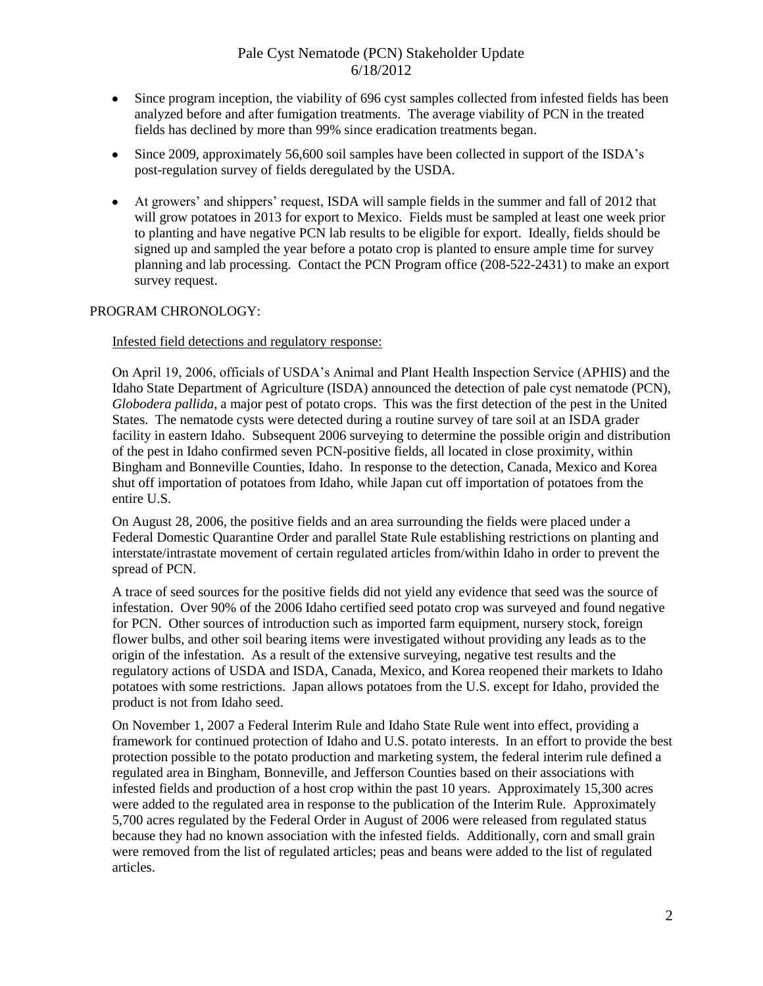- Since program inception, the viability of 696 cyst samples collected from infested fields has been analyzed before and after fumigation treatments. The average viability of PCN in the treated fields has declined by more than 99% since eradication treatments began.
- Since 2009, approximately 56,600 soil samples have been collected in support of the ISDA's  $\bullet$ post-regulation survey of fields deregulated by the USDA.
- At growers' and shippers' request, ISDA will sample fields in the summer and fall of 2012 that will grow potatoes in 2013 for export to Mexico. Fields must be sampled at least one week prior to planting and have negative PCN lab results to be eligible for export. Ideally, fields should be signed up and sampled the year before a potato crop is planted to ensure ample time for survey planning and lab processing. Contact the PCN Program office (208-522-2431) to make an export survey request.

#### PROGRAM CHRONOLOGY:

Infested field detections and regulatory response:

On April 19, 2006, officials of USDA's Animal and Plant Health Inspection Service (APHIS) and the Idaho State Department of Agriculture (ISDA) announced the detection of pale cyst nematode (PCN), *Globodera pallida*, a major pest of potato crops. This was the first detection of the pest in the United States. The nematode cysts were detected during a routine survey of tare soil at an ISDA grader facility in eastern Idaho. Subsequent 2006 surveying to determine the possible origin and distribution of the pest in Idaho confirmed seven PCN-positive fields, all located in close proximity, within Bingham and Bonneville Counties, Idaho. In response to the detection, Canada, Mexico and Korea shut off importation of potatoes from Idaho, while Japan cut off importation of potatoes from the entire U.S.

On August 28, 2006, the positive fields and an area surrounding the fields were placed under a Federal Domestic Quarantine Order and parallel State Rule establishing restrictions on planting and interstate/intrastate movement of certain regulated articles from/within Idaho in order to prevent the spread of PCN.

A trace of seed sources for the positive fields did not yield any evidence that seed was the source of infestation. Over 90% of the 2006 Idaho certified seed potato crop was surveyed and found negative for PCN. Other sources of introduction such as imported farm equipment, nursery stock, foreign flower bulbs, and other soil bearing items were investigated without providing any leads as to the origin of the infestation. As a result of the extensive surveying, negative test results and the regulatory actions of USDA and ISDA, Canada, Mexico, and Korea reopened their markets to Idaho potatoes with some restrictions. Japan allows potatoes from the U.S. except for Idaho, provided the product is not from Idaho seed.

On November 1, 2007 a Federal Interim Rule and Idaho State Rule went into effect, providing a framework for continued protection of Idaho and U.S. potato interests. In an effort to provide the best protection possible to the potato production and marketing system, the federal interim rule defined a regulated area in Bingham, Bonneville, and Jefferson Counties based on their associations with infested fields and production of a host crop within the past 10 years. Approximately 15,300 acres were added to the regulated area in response to the publication of the Interim Rule. Approximately 5,700 acres regulated by the Federal Order in August of 2006 were released from regulated status because they had no known association with the infested fields. Additionally, corn and small grain were removed from the list of regulated articles; peas and beans were added to the list of regulated articles.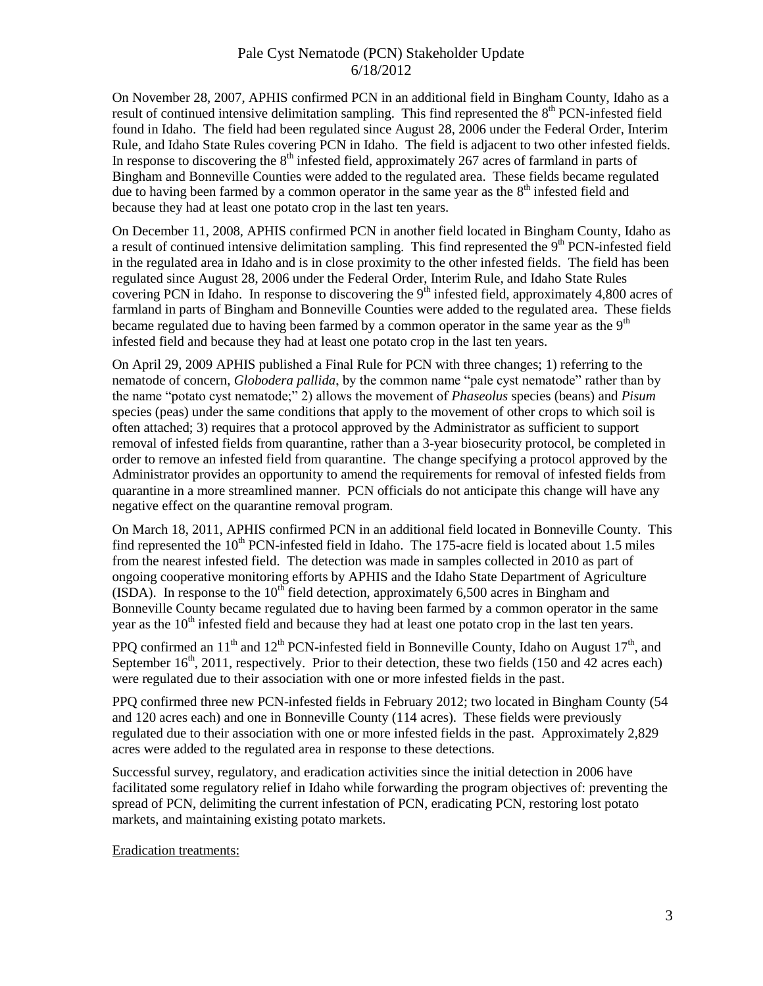On November 28, 2007, APHIS confirmed PCN in an additional field in Bingham County, Idaho as a result of continued intensive delimitation sampling. This find represented the 8<sup>th</sup> PCN-infested field found in Idaho. The field had been regulated since August 28, 2006 under the Federal Order, Interim Rule, and Idaho State Rules covering PCN in Idaho. The field is adjacent to two other infested fields. In response to discovering the  $8<sup>th</sup>$  infested field, approximately 267 acres of farmland in parts of Bingham and Bonneville Counties were added to the regulated area. These fields became regulated due to having been farmed by a common operator in the same year as the  $8<sup>th</sup>$  infested field and because they had at least one potato crop in the last ten years.

On December 11, 2008, APHIS confirmed PCN in another field located in Bingham County, Idaho as a result of continued intensive delimitation sampling. This find represented the  $9<sup>th</sup>$  PCN-infested field in the regulated area in Idaho and is in close proximity to the other infested fields. The field has been regulated since August 28, 2006 under the Federal Order, Interim Rule, and Idaho State Rules covering PCN in Idaho. In response to discovering the 9<sup>th</sup> infested field, approximately 4,800 acres of farmland in parts of Bingham and Bonneville Counties were added to the regulated area. These fields became regulated due to having been farmed by a common operator in the same year as the  $9<sup>th</sup>$ infested field and because they had at least one potato crop in the last ten years.

On April 29, 2009 APHIS published a Final Rule for PCN with three changes; 1) referring to the nematode of concern, *Globodera pallida*, by the common name "pale cyst nematode" rather than by the name "potato cyst nematode;" 2) allows the movement of *Phaseolus* species (beans) and *Pisum* species (peas) under the same conditions that apply to the movement of other crops to which soil is often attached; 3) requires that a protocol approved by the Administrator as sufficient to support removal of infested fields from quarantine, rather than a 3-year biosecurity protocol, be completed in order to remove an infested field from quarantine. The change specifying a protocol approved by the Administrator provides an opportunity to amend the requirements for removal of infested fields from quarantine in a more streamlined manner. PCN officials do not anticipate this change will have any negative effect on the quarantine removal program.

On March 18, 2011, APHIS confirmed PCN in an additional field located in Bonneville County. This find represented the  $10<sup>th</sup>$  PCN-infested field in Idaho. The 175-acre field is located about 1.5 miles from the nearest infested field. The detection was made in samples collected in 2010 as part of ongoing cooperative monitoring efforts by APHIS and the Idaho State Department of Agriculture (ISDA). In response to the  $10<sup>th</sup>$  field detection, approximately 6,500 acres in Bingham and Bonneville County became regulated due to having been farmed by a common operator in the same year as the 10<sup>th</sup> infested field and because they had at least one potato crop in the last ten years.

PPO confirmed an  $11<sup>th</sup>$  and  $12<sup>th</sup>$  PCN-infested field in Bonneville County, Idaho on August  $17<sup>th</sup>$ , and September  $16<sup>th</sup>$ , 2011, respectively. Prior to their detection, these two fields (150 and 42 acres each) were regulated due to their association with one or more infested fields in the past.

PPQ confirmed three new PCN-infested fields in February 2012; two located in Bingham County (54 and 120 acres each) and one in Bonneville County (114 acres). These fields were previously regulated due to their association with one or more infested fields in the past. Approximately 2,829 acres were added to the regulated area in response to these detections.

Successful survey, regulatory, and eradication activities since the initial detection in 2006 have facilitated some regulatory relief in Idaho while forwarding the program objectives of: preventing the spread of PCN, delimiting the current infestation of PCN, eradicating PCN, restoring lost potato markets, and maintaining existing potato markets.

Eradication treatments: